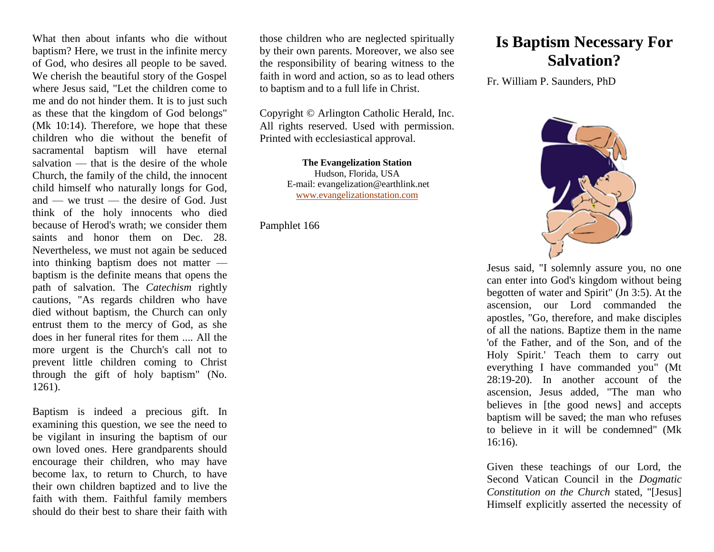What then about infants who die without baptism? Here, we trust in the infinite mercy of God, who desires all people to be saved. We cherish the beautiful story of the Gospel where Jesus said, "Let the children come to me and do not hinder them. It is to just such as these that the kingdom of God belongs" (Mk 10:14). Therefore, we hope that these children who die without the benefit of sacramental baptism will have eternal salvation — that is the desire of the whole Church, the family of the child, the innocent child himself who naturally longs for God, and — we trust — the desire of God. Just think of the holy innocents who died because of Herod's wrath; we consider them saints and honor them on Dec. 28. Nevertheless, we must not again be seduced into thinking baptism does not matter baptism is the definite means that opens the path of salvation. The *Catechism* rightly cautions, "As regards children who have died without baptism, the Church can only entrust them to the mercy of God, as she does in her funeral rites for them .... All the more urgent is the Church's call not to prevent little children coming to Christ through the gift of holy baptism" (No. 1261).

Baptism is indeed a precious gift. In examining this question, we see the need to be vigilant in insuring the baptism of our own loved ones. Here grandparents should encourage their children, who may have become lax, to return to Church, to have their own children baptized and to live the faith with them. Faithful family members should do their best to share their faith with

those children who are neglected spiritually by their own parents. Moreover, we also see the responsibility of bearing witness to the faith in word and action, so as to lead others to baptism and to a full life in Christ.

Copyright © Arlington Catholic Herald, Inc. All rights reserved. Used with permission. Printed with ecclesiastical approval.

> **The Evangelization Station** Hudson, Florida, USA E-mail: evangelization@earthlink.net [www.evangelizationstation.com](http://www.pjpiisoe.org/)

Pamphlet 166

## **Is Baptism Necessary For Salvation?**

Fr. William P. Saunders, PhD



Jesus said, "I solemnly assure you, no one can enter into God's kingdom without being begotten of water and Spirit" (Jn 3:5). At the ascension, our Lord commanded the apostles, "Go, therefore, and make disciples of all the nations. Baptize them in the name 'of the Father, and of the Son, and of the Holy Spirit.' Teach them to carry out everything I have commanded you" (Mt 28:19-20). In another account of the ascension, Jesus added, "The man who believes in [the good news] and accepts baptism will be saved; the man who refuses to believe in it will be condemned" (Mk 16:16).

Given these teachings of our Lord, the Second Vatican Council in the *Dogmatic Constitution on the Church* stated, "[Jesus] Himself explicitly asserted the necessity of